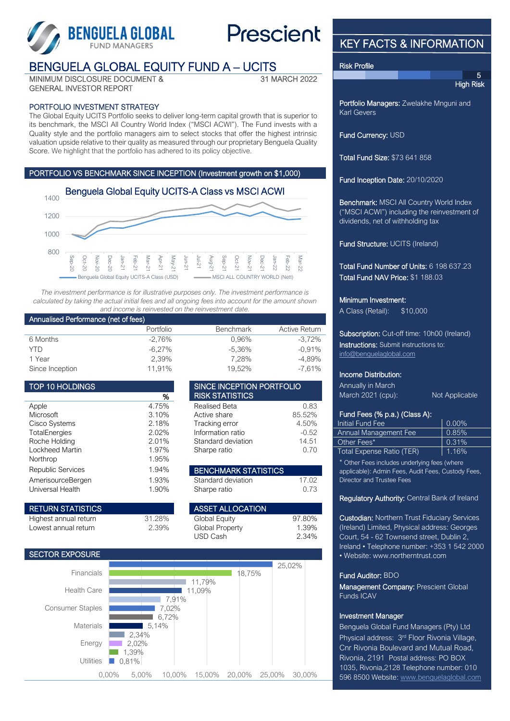

# **Prescient**

# BENGUELA GLOBAL EQUITY FUND A – UCITS

MINIMUM DISCLOSURE DOCUMENT & GENERAL INVESTOR REPORT

## 31 MARCH 2022

### PORTFOLIO INVESTMENT STRATEGY

The Global Equity UCITS Portfolio seeks to deliver long-term capital growth that is superior to its benchmark, the MSCI All Country World Index ("MSCI ACWI"). The Fund invests with a Quality style and the portfolio managers aim to select stocks that offer the highest intrinsic valuation upside relative to their quality as measured through our proprietary Benguela Quality Score. We highlight that the portfolio has adhered to its policy objective.

### PORTFOLIO VS BENCHMARK SINCE INCEPTION (Investment growth on \$1,000)



*The investment performance is for illustrative purposes only. The investment performance is calculated by taking the actual initial fees and all ongoing fees into account for the amount shown and income is reinvested on the reinvestment date.*

#### Annualised Performance (net of fees)

|                 | Portfolio | <b>Benchmark</b> | <b>Active Return</b> |
|-----------------|-----------|------------------|----------------------|
| 6 Months        | $-2.76\%$ | 0.96%            | $-3.72\%$            |
| YTD             | $-6.27\%$ | -5.36%           | $-0.91\%$            |
| 1 Year          | 2,39%     | 7.28%            | -4.89%               |
| Since Inception | 11.91%    | 19,52%           | $-7.61\%$            |

SINCE INCEPTION PORTFOLIO

**BENCHMARK STATISTICS** 

**ASSET ALLOCATION** 31.28% Global Equity 97.80% 2.39% Global Property 1.39%

Realised Beta 6.83 Active share 85.52% Tracking error 4.50% Information ratio  $-0.52$ Standard deviation 14.51 Sharpe ratio 6.70

Standard deviation 17.02 Sharpe ratio 0.73

USD Cash 2.34%

**RISK STATISTICS** 

| <b>TOP 10 HOLDINGS</b>   |       |
|--------------------------|-------|
|                          | %     |
| Apple                    | 4.75% |
| Microsoft                | 3.10% |
| <b>Cisco Systems</b>     | 2.18% |
| <b>TotalEnergies</b>     | 2.02% |
| Roche Holding            | 2.01% |
| Lockheed Martin          | 1.97% |
| Northrop                 | 1.95% |
| <b>Republic Services</b> | 1.94% |
| AmerisourceBergen        | 1.93% |
| Universal Health         | 1.90% |

| <b>RETURN STATISTICS</b> |
|--------------------------|
| Highest annual return    |
| Lowest annual return     |

#### SECTOR EXPOSURE



# KEY FACTS & INFORMATION

#### Risk Profile

5 **High Risk** 

Portfolio Managers: Zwelakhe Mnguni and Karl Gevers

Fund Currency: USD

Total Fund Size: \$73 641 858

Fund Inception Date: 20/10/2020

Benchmark: MSCI All Country World Index ("MSCI ACWI") including the reinvestment of dividends, net of withholding tax

Fund Structure: UCITS (Ireland)

Total Fund Number of Units: 6 198 637.23 Total Fund NAV Price: \$1 188.03

#### Minimum Investment:

A Class (Retail): \$10,000

Subscription: Cut-off time: 10h00 (Ireland) Instructions: Submit instructions to: [info@benguelaglobal.com](mailto:info@benguelaglobal.com)

#### Income Distribution:

Annually in March March 2021 (cpu): Not Applicable

# Fund Fees (% p.a.) (Class A):

| Initial Fund Fee             | $0.00\%$ |
|------------------------------|----------|
| <b>Annual Management Fee</b> | 0.85%    |
| Other Fees*                  | 0.31%    |
| Total Expense Ratio (TER)    | 1.16%    |
|                              |          |

Other Fees includes underlying fees (where applicable): Admin Fees, Audit Fees, Custody Fees, Director and Trustee Fees

#### Regulatory Authority: Central Bank of Ireland

Custodian: Northern Trust Fiduciary Services (Ireland) Limited, Physical address: Georges Court, 54 - 62 Townsend street, Dublin 2, Ireland • Telephone number: +353 1 542 2000 • Website: www.northerntrust.com

#### Fund Auditor: BDO

Management Company: Prescient Global Funds ICAV

### Investment Manager

Benguela Global Fund Managers (Pty) Ltd Physical address: 3<sup>rd</sup> Floor Rivonia Village, Cnr Rivonia Boulevard and Mutual Road, Rivonia, 2191 Postal address: PO BOX 1035, Rivonia,2128 Telephone number: 010 596 8500 Website[: www.benguelaglobal.com](http://www.benguelaglobal.com/)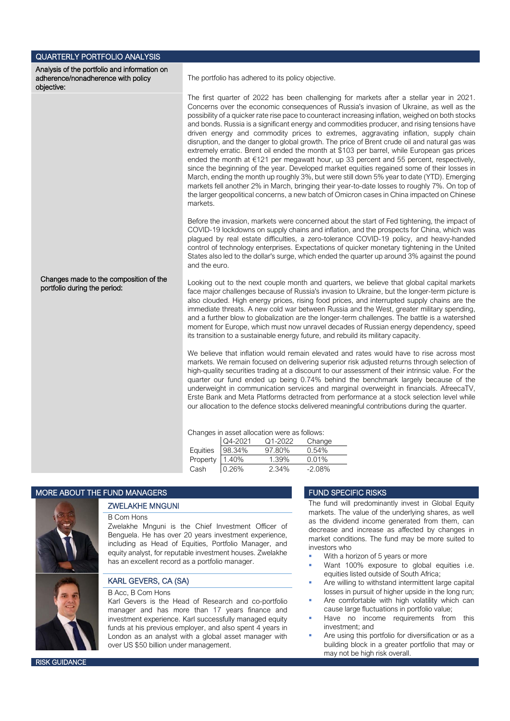| <b>QUARTERLY PORTFOLIO ANALYSIS</b>                                                              |                                                                                                                                                                                                                                                                                                                                                                                                                                                                                                                                                                                                                                                                                                                                                                                                                                                                                                                                                                                                                                                                                                                                                                                     |
|--------------------------------------------------------------------------------------------------|-------------------------------------------------------------------------------------------------------------------------------------------------------------------------------------------------------------------------------------------------------------------------------------------------------------------------------------------------------------------------------------------------------------------------------------------------------------------------------------------------------------------------------------------------------------------------------------------------------------------------------------------------------------------------------------------------------------------------------------------------------------------------------------------------------------------------------------------------------------------------------------------------------------------------------------------------------------------------------------------------------------------------------------------------------------------------------------------------------------------------------------------------------------------------------------|
| Analysis of the portfolio and information on<br>adherence/nonadherence with policy<br>objective: | The portfolio has adhered to its policy objective.                                                                                                                                                                                                                                                                                                                                                                                                                                                                                                                                                                                                                                                                                                                                                                                                                                                                                                                                                                                                                                                                                                                                  |
|                                                                                                  | The first quarter of 2022 has been challenging for markets after a stellar year in 2021.<br>Concerns over the economic consequences of Russia's invasion of Ukraine, as well as the<br>possibility of a quicker rate rise pace to counteract increasing inflation, weighed on both stocks<br>and bonds. Russia is a significant energy and commodities producer, and rising tensions have<br>driven energy and commodity prices to extremes, aggravating inflation, supply chain<br>disruption, and the danger to global growth. The price of Brent crude oil and natural gas was<br>extremely erratic. Brent oil ended the month at \$103 per barrel, while European gas prices<br>ended the month at €121 per megawatt hour, up 33 percent and 55 percent, respectively,<br>since the beginning of the year. Developed market equities regained some of their losses in<br>March, ending the month up roughly 3%, but were still down 5% year to date (YTD). Emerging<br>markets fell another 2% in March, bringing their year-to-date losses to roughly 7%. On top of<br>the larger geopolitical concerns, a new batch of Omicron cases in China impacted on Chinese<br>markets. |
|                                                                                                  | Before the invasion, markets were concerned about the start of Fed tightening, the impact of<br>COVID-19 lockdowns on supply chains and inflation, and the prospects for China, which was<br>plagued by real estate difficulties, a zero-tolerance COVID-19 policy, and heavy-handed<br>control of technology enterprises. Expectations of quicker monetary tightening in the United<br>States also led to the dollar's surge, which ended the quarter up around 3% against the pound<br>and the euro.                                                                                                                                                                                                                                                                                                                                                                                                                                                                                                                                                                                                                                                                              |
| Changes made to the composition of the<br>portfolio during the period:                           | Looking out to the next couple month and quarters, we believe that global capital markets<br>face major challenges because of Russia's invasion to Ukraine, but the longer-term picture is<br>also clouded. High energy prices, rising food prices, and interrupted supply chains are the<br>immediate threats. A new cold war between Russia and the West, greater military spending,<br>and a further blow to globalization are the longer-term challenges. The battle is a watershed<br>moment for Europe, which must now unravel decades of Russian energy dependency, speed<br>its transition to a sustainable energy future, and rebuild its military capacity.                                                                                                                                                                                                                                                                                                                                                                                                                                                                                                               |
|                                                                                                  | We believe that inflation would remain elevated and rates would have to rise across most<br>markets. We remain focused on delivering superior risk adjusted returns through selection of<br>high-quality securities trading at a discount to our assessment of their intrinsic value. For the<br>quarter our fund ended up being 0.74% behind the benchmark largely because of the<br>underweight in communication services and marginal overweight in financials. AfreecaTV,<br>Erste Bank and Meta Platforms detracted from performance at a stock selection level while<br>our allocation to the defence stocks delivered meaningful contributions during the quarter.                                                                                                                                                                                                                                                                                                                                                                                                                                                                                                           |
|                                                                                                  | Changes in asset allocation were as follows:<br>Q4-2021<br>Q1-2022<br>Change<br>98.34%<br>97.80%<br>0.54%<br>Equities<br>0.01%<br>Property<br>1.40%<br>1.39%<br>2.34%<br>Cash<br>0.26%<br>$-2.08%$                                                                                                                                                                                                                                                                                                                                                                                                                                                                                                                                                                                                                                                                                                                                                                                                                                                                                                                                                                                  |

#### MORE ABOUT THE FUND MANAGERS FUND SPECIFIC RISKS



# ZWELAKHE MNGUNI

### B Com Hons

Zwelakhe Mnguni is the Chief Investment Officer of Benguela. He has over 20 years investment experience, including as Head of Equities, Portfolio Manager, and equity analyst, for reputable investment houses. Zwelakhe has an excellent record as a portfolio manager.

#### KARL GEVERS, CA (SA)

#### B Acc, B Com Hons

Karl Gevers is the Head of Research and co-portfolio manager and has more than 17 years finance and investment experience. Karl successfully managed equity funds at his previous employer, and also spent 4 years in London as an analyst with a global asset manager with over US \$50 billion under management.

The fund will predominantly invest in Global Equity markets. The value of the underlying shares, as well as the dividend income generated from them, can decrease and increase as affected by changes in market conditions. The fund may be more suited to investors who

- With a horizon of 5 years or more
- Want 100% exposure to global equities i.e. equities listed outside of South Africa;
- Are willing to withstand intermittent large capital losses in pursuit of higher upside in the long run;
- Are comfortable with high volatility which can cause large fluctuations in portfolio value;
- Have no income requirements from this investment; and
- Are using this portfolio for diversification or as a building block in a greater portfolio that may or may not be high risk overall.

**RISK GUIDANCE**